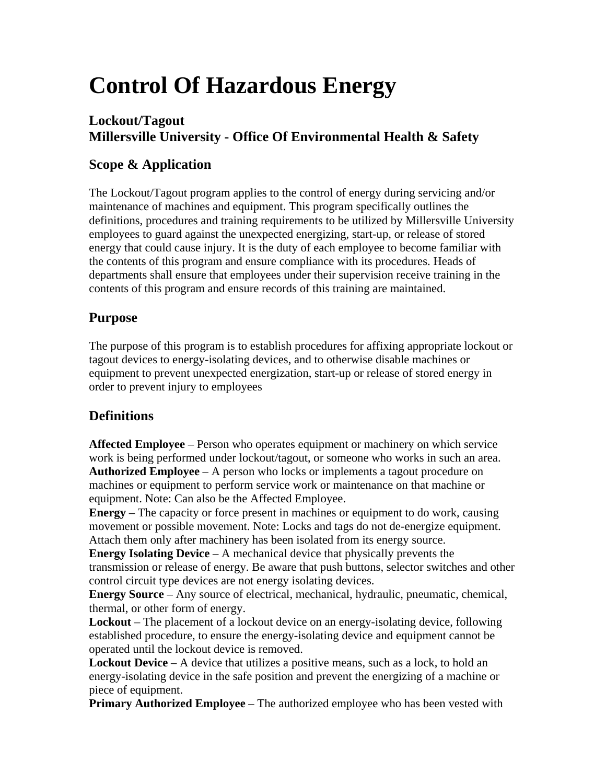# **Control Of Hazardous Energy**

#### **Lockout/Tagout Millersville University - Office Of Environmental Health & Safety**

## **Scope & Application**

The Lockout/Tagout program applies to the control of energy during servicing and/or maintenance of machines and equipment. This program specifically outlines the definitions, procedures and training requirements to be utilized by Millersville University employees to guard against the unexpected energizing, start-up, or release of stored energy that could cause injury. It is the duty of each employee to become familiar with the contents of this program and ensure compliance with its procedures. Heads of departments shall ensure that employees under their supervision receive training in the contents of this program and ensure records of this training are maintained.

#### **Purpose**

The purpose of this program is to establish procedures for affixing appropriate lockout or tagout devices to energy-isolating devices, and to otherwise disable machines or equipment to prevent unexpected energization, start-up or release of stored energy in order to prevent injury to employees

#### **Definitions**

**Affected Employee** – Person who operates equipment or machinery on which service work is being performed under lockout/tagout, or someone who works in such an area. **Authorized Employee** – A person who locks or implements a tagout procedure on machines or equipment to perform service work or maintenance on that machine or equipment. Note: Can also be the Affected Employee.

**Energy** – The capacity or force present in machines or equipment to do work, causing movement or possible movement. Note: Locks and tags do not de-energize equipment. Attach them only after machinery has been isolated from its energy source.

**Energy Isolating Device** – A mechanical device that physically prevents the transmission or release of energy. Be aware that push buttons, selector switches and other control circuit type devices are not energy isolating devices.

**Energy Source** – Any source of electrical, mechanical, hydraulic, pneumatic, chemical, thermal, or other form of energy.

**Lockout** – The placement of a lockout device on an energy-isolating device, following established procedure, to ensure the energy-isolating device and equipment cannot be operated until the lockout device is removed.

**Lockout Device** – A device that utilizes a positive means, such as a lock, to hold an energy-isolating device in the safe position and prevent the energizing of a machine or piece of equipment.

**Primary Authorized Employee** – The authorized employee who has been vested with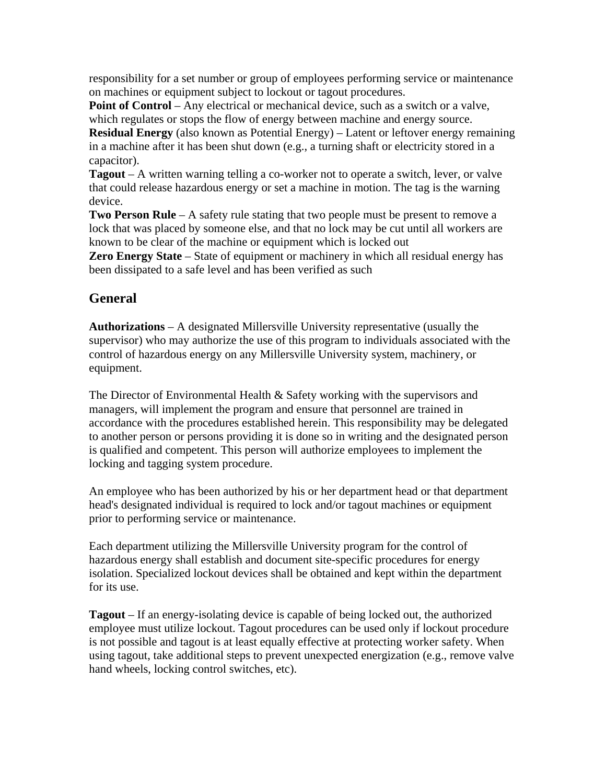responsibility for a set number or group of employees performing service or maintenance on machines or equipment subject to lockout or tagout procedures.

**Point of Control** – Any electrical or mechanical device, such as a switch or a valve, which regulates or stops the flow of energy between machine and energy source.

**Residual Energy** (also known as Potential Energy) – Latent or leftover energy remaining in a machine after it has been shut down (e.g., a turning shaft or electricity stored in a capacitor).

**Tagout** – A written warning telling a co-worker not to operate a switch, lever, or valve that could release hazardous energy or set a machine in motion. The tag is the warning device.

**Two Person Rule** – A safety rule stating that two people must be present to remove a lock that was placed by someone else, and that no lock may be cut until all workers are known to be clear of the machine or equipment which is locked out

**Zero Energy State** – State of equipment or machinery in which all residual energy has been dissipated to a safe level and has been verified as such

### **General**

**Authorizations** – A designated Millersville University representative (usually the supervisor) who may authorize the use of this program to individuals associated with the control of hazardous energy on any Millersville University system, machinery, or equipment.

The Director of Environmental Health & Safety working with the supervisors and managers, will implement the program and ensure that personnel are trained in accordance with the procedures established herein. This responsibility may be delegated to another person or persons providing it is done so in writing and the designated person is qualified and competent. This person will authorize employees to implement the locking and tagging system procedure.

An employee who has been authorized by his or her department head or that department head's designated individual is required to lock and/or tagout machines or equipment prior to performing service or maintenance.

Each department utilizing the Millersville University program for the control of hazardous energy shall establish and document site-specific procedures for energy isolation. Specialized lockout devices shall be obtained and kept within the department for its use.

**Tagout** – If an energy-isolating device is capable of being locked out, the authorized employee must utilize lockout. Tagout procedures can be used only if lockout procedure is not possible and tagout is at least equally effective at protecting worker safety. When using tagout, take additional steps to prevent unexpected energization (e.g., remove valve hand wheels, locking control switches, etc).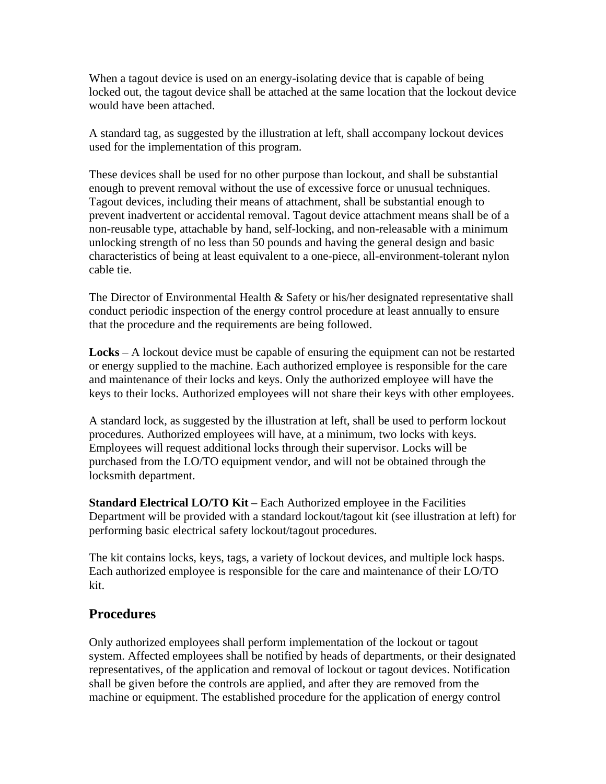When a tagout device is used on an energy-isolating device that is capable of being locked out, the tagout device shall be attached at the same location that the lockout device would have been attached.

A standard tag, as suggested by the illustration at left, shall accompany lockout devices used for the implementation of this program.

These devices shall be used for no other purpose than lockout, and shall be substantial enough to prevent removal without the use of excessive force or unusual techniques. Tagout devices, including their means of attachment, shall be substantial enough to prevent inadvertent or accidental removal. Tagout device attachment means shall be of a non-reusable type, attachable by hand, self-locking, and non-releasable with a minimum unlocking strength of no less than 50 pounds and having the general design and basic characteristics of being at least equivalent to a one-piece, all-environment-tolerant nylon cable tie.

The Director of Environmental Health  $\&$  Safety or his/her designated representative shall conduct periodic inspection of the energy control procedure at least annually to ensure that the procedure and the requirements are being followed.

**Locks** – A lockout device must be capable of ensuring the equipment can not be restarted or energy supplied to the machine. Each authorized employee is responsible for the care and maintenance of their locks and keys. Only the authorized employee will have the keys to their locks. Authorized employees will not share their keys with other employees.

A standard lock, as suggested by the illustration at left, shall be used to perform lockout procedures. Authorized employees will have, at a minimum, two locks with keys. Employees will request additional locks through their supervisor. Locks will be purchased from the LO/TO equipment vendor, and will not be obtained through the locksmith department.

**Standard Electrical LO/TO Kit** – Each Authorized employee in the Facilities Department will be provided with a standard lockout/tagout kit (see illustration at left) for performing basic electrical safety lockout/tagout procedures.

The kit contains locks, keys, tags, a variety of lockout devices, and multiple lock hasps. Each authorized employee is responsible for the care and maintenance of their LO/TO kit.

#### **Procedures**

Only authorized employees shall perform implementation of the lockout or tagout system. Affected employees shall be notified by heads of departments, or their designated representatives, of the application and removal of lockout or tagout devices. Notification shall be given before the controls are applied, and after they are removed from the machine or equipment. The established procedure for the application of energy control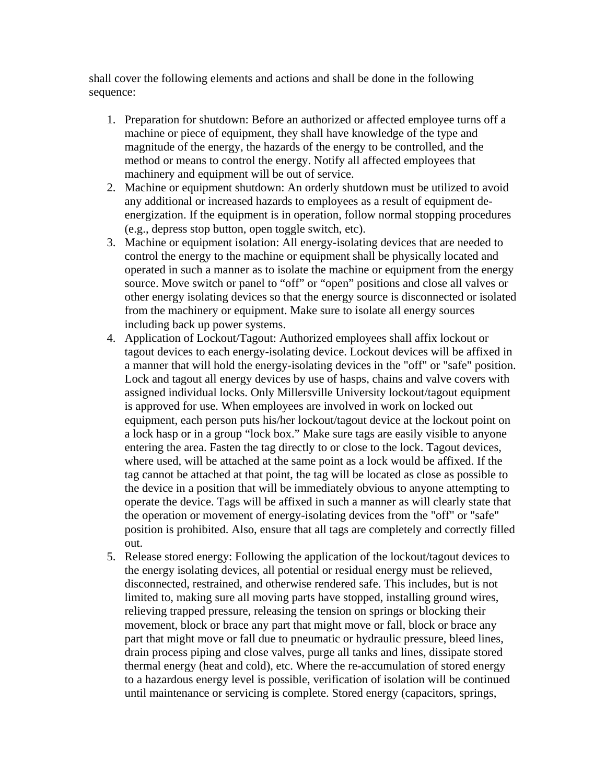shall cover the following elements and actions and shall be done in the following sequence:

- 1. Preparation for shutdown: Before an authorized or affected employee turns off a machine or piece of equipment, they shall have knowledge of the type and magnitude of the energy, the hazards of the energy to be controlled, and the method or means to control the energy. Notify all affected employees that machinery and equipment will be out of service.
- 2. Machine or equipment shutdown: An orderly shutdown must be utilized to avoid any additional or increased hazards to employees as a result of equipment deenergization. If the equipment is in operation, follow normal stopping procedures (e.g., depress stop button, open toggle switch, etc).
- 3. Machine or equipment isolation: All energy-isolating devices that are needed to control the energy to the machine or equipment shall be physically located and operated in such a manner as to isolate the machine or equipment from the energy source. Move switch or panel to "off" or "open" positions and close all valves or other energy isolating devices so that the energy source is disconnected or isolated from the machinery or equipment. Make sure to isolate all energy sources including back up power systems.
- 4. Application of Lockout/Tagout: Authorized employees shall affix lockout or tagout devices to each energy-isolating device. Lockout devices will be affixed in a manner that will hold the energy-isolating devices in the "off" or "safe" position. Lock and tagout all energy devices by use of hasps, chains and valve covers with assigned individual locks. Only Millersville University lockout/tagout equipment is approved for use. When employees are involved in work on locked out equipment, each person puts his/her lockout/tagout device at the lockout point on a lock hasp or in a group "lock box." Make sure tags are easily visible to anyone entering the area. Fasten the tag directly to or close to the lock. Tagout devices, where used, will be attached at the same point as a lock would be affixed. If the tag cannot be attached at that point, the tag will be located as close as possible to the device in a position that will be immediately obvious to anyone attempting to operate the device. Tags will be affixed in such a manner as will clearly state that the operation or movement of energy-isolating devices from the "off" or "safe" position is prohibited. Also, ensure that all tags are completely and correctly filled out.
- 5. Release stored energy: Following the application of the lockout/tagout devices to the energy isolating devices, all potential or residual energy must be relieved, disconnected, restrained, and otherwise rendered safe. This includes, but is not limited to, making sure all moving parts have stopped, installing ground wires, relieving trapped pressure, releasing the tension on springs or blocking their movement, block or brace any part that might move or fall, block or brace any part that might move or fall due to pneumatic or hydraulic pressure, bleed lines, drain process piping and close valves, purge all tanks and lines, dissipate stored thermal energy (heat and cold), etc. Where the re-accumulation of stored energy to a hazardous energy level is possible, verification of isolation will be continued until maintenance or servicing is complete. Stored energy (capacitors, springs,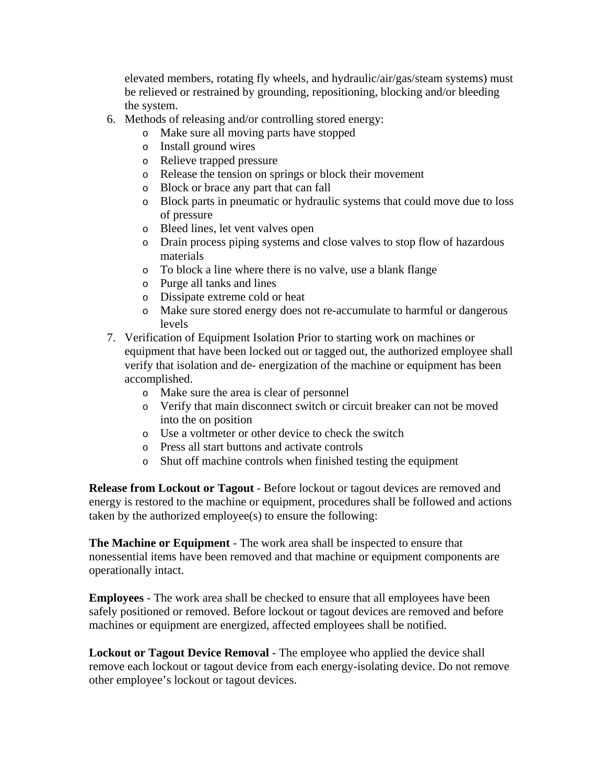elevated members, rotating fly wheels, and hydraulic/air/gas/steam systems) must be relieved or restrained by grounding, repositioning, blocking and/or bleeding the system.

- 6. Methods of releasing and/or controlling stored energy:
	- o Make sure all moving parts have stopped
	- o Install ground wires
	- o Relieve trapped pressure
	- o Release the tension on springs or block their movement
	- o Block or brace any part that can fall
	- o Block parts in pneumatic or hydraulic systems that could move due to loss of pressure
	- o Bleed lines, let vent valves open
	- o Drain process piping systems and close valves to stop flow of hazardous materials
	- o To block a line where there is no valve, use a blank flange
	- o Purge all tanks and lines
	- o Dissipate extreme cold or heat
	- o Make sure stored energy does not re-accumulate to harmful or dangerous levels
- 7. Verification of Equipment Isolation Prior to starting work on machines or equipment that have been locked out or tagged out, the authorized employee shall verify that isolation and de- energization of the machine or equipment has been accomplished.
	- o Make sure the area is clear of personnel
	- o Verify that main disconnect switch or circuit breaker can not be moved into the on position
	- o Use a voltmeter or other device to check the switch
	- o Press all start buttons and activate controls
	- o Shut off machine controls when finished testing the equipment

**Release from Lockout or Tagout** - Before lockout or tagout devices are removed and energy is restored to the machine or equipment, procedures shall be followed and actions taken by the authorized employee(s) to ensure the following:

**The Machine or Equipment** - The work area shall be inspected to ensure that nonessential items have been removed and that machine or equipment components are operationally intact.

**Employees** - The work area shall be checked to ensure that all employees have been safely positioned or removed. Before lockout or tagout devices are removed and before machines or equipment are energized, affected employees shall be notified.

**Lockout or Tagout Device Removal** - The employee who applied the device shall remove each lockout or tagout device from each energy-isolating device. Do not remove other employee's lockout or tagout devices.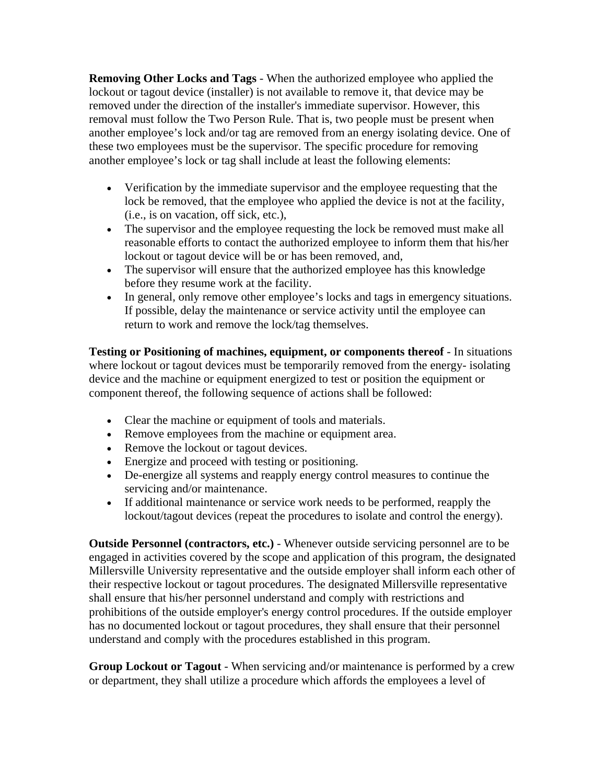**Removing Other Locks and Tags** - When the authorized employee who applied the lockout or tagout device (installer) is not available to remove it, that device may be removed under the direction of the installer's immediate supervisor. However, this removal must follow the Two Person Rule. That is, two people must be present when another employee's lock and/or tag are removed from an energy isolating device. One of these two employees must be the supervisor. The specific procedure for removing another employee's lock or tag shall include at least the following elements:

- Verification by the immediate supervisor and the employee requesting that the lock be removed, that the employee who applied the device is not at the facility, (i.e., is on vacation, off sick, etc.),
- The supervisor and the employee requesting the lock be removed must make all reasonable efforts to contact the authorized employee to inform them that his/her lockout or tagout device will be or has been removed, and,
- The supervisor will ensure that the authorized employee has this knowledge before they resume work at the facility.
- In general, only remove other employee's locks and tags in emergency situations. If possible, delay the maintenance or service activity until the employee can return to work and remove the lock/tag themselves.

**Testing or Positioning of machines, equipment, or components thereof** - In situations where lockout or tagout devices must be temporarily removed from the energy- isolating device and the machine or equipment energized to test or position the equipment or component thereof, the following sequence of actions shall be followed:

- Clear the machine or equipment of tools and materials.
- Remove employees from the machine or equipment area.
- Remove the lockout or tagout devices.
- Energize and proceed with testing or positioning.
- De-energize all systems and reapply energy control measures to continue the servicing and/or maintenance.
- If additional maintenance or service work needs to be performed, reapply the lockout/tagout devices (repeat the procedures to isolate and control the energy).

**Outside Personnel (contractors, etc.)** - Whenever outside servicing personnel are to be engaged in activities covered by the scope and application of this program, the designated Millersville University representative and the outside employer shall inform each other of their respective lockout or tagout procedures. The designated Millersville representative shall ensure that his/her personnel understand and comply with restrictions and prohibitions of the outside employer's energy control procedures. If the outside employer has no documented lockout or tagout procedures, they shall ensure that their personnel understand and comply with the procedures established in this program.

**Group Lockout or Tagout** - When servicing and/or maintenance is performed by a crew or department, they shall utilize a procedure which affords the employees a level of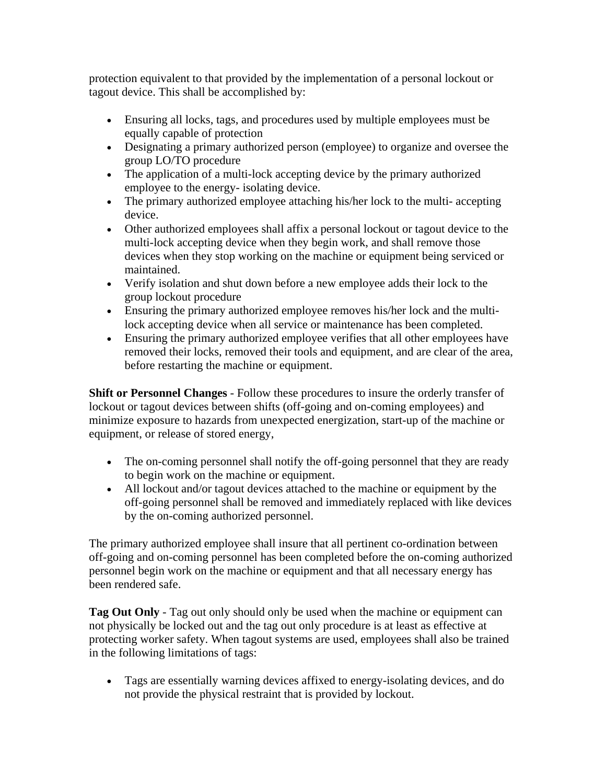protection equivalent to that provided by the implementation of a personal lockout or tagout device. This shall be accomplished by:

- Ensuring all locks, tags, and procedures used by multiple employees must be equally capable of protection
- Designating a primary authorized person (employee) to organize and oversee the group LO/TO procedure
- The application of a multi-lock accepting device by the primary authorized employee to the energy- isolating device.
- The primary authorized employee attaching his/her lock to the multi-accepting device.
- Other authorized employees shall affix a personal lockout or tagout device to the multi-lock accepting device when they begin work, and shall remove those devices when they stop working on the machine or equipment being serviced or maintained.
- Verify isolation and shut down before a new employee adds their lock to the group lockout procedure
- Ensuring the primary authorized employee removes his/her lock and the multilock accepting device when all service or maintenance has been completed.
- Ensuring the primary authorized employee verifies that all other employees have removed their locks, removed their tools and equipment, and are clear of the area, before restarting the machine or equipment.

**Shift or Personnel Changes** - Follow these procedures to insure the orderly transfer of lockout or tagout devices between shifts (off-going and on-coming employees) and minimize exposure to hazards from unexpected energization, start-up of the machine or equipment, or release of stored energy,

- The on-coming personnel shall notify the off-going personnel that they are ready to begin work on the machine or equipment.
- All lockout and/or tagout devices attached to the machine or equipment by the off-going personnel shall be removed and immediately replaced with like devices by the on-coming authorized personnel.

The primary authorized employee shall insure that all pertinent co-ordination between off-going and on-coming personnel has been completed before the on-coming authorized personnel begin work on the machine or equipment and that all necessary energy has been rendered safe.

**Tag Out Only** - Tag out only should only be used when the machine or equipment can not physically be locked out and the tag out only procedure is at least as effective at protecting worker safety. When tagout systems are used, employees shall also be trained in the following limitations of tags:

• Tags are essentially warning devices affixed to energy-isolating devices, and do not provide the physical restraint that is provided by lockout.